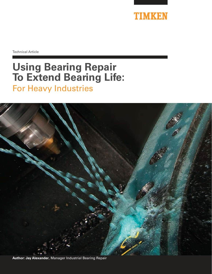

Technical Article

# **Using Bearing Repair To Extend Bearing Life:** For Heavy Industries



**Author: Jay Alexander**, Manager Industrial Bearing Repair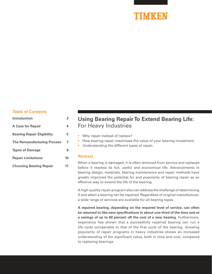### TIMKFN

### **Table of Contents**

| Introduction                       | 3  |
|------------------------------------|----|
| <b>A Case for Repair</b>           | 4  |
| <b>Bearing Repair Eligibility</b>  | 5  |
| <b>The Remanufacturing Process</b> | 7  |
| <b>Types of Damage</b>             | 9  |
| <b>Repair Limitations</b>          | 10 |
| <b>Choosing Bearing Repair</b>     | 11 |

### **Using Bearing Repair To Extend Bearing Life:** For Heavy Industries

- Why repair instead of replace?
- How bearing repair maximizes the value of your bearing investment.
- Understanding the different types of repair.

#### **Abstract**

When a bearing is damaged, it is often removed from service and replaced before it reaches its full, useful and economical life. Advancements in bearing design, materials, bearing maintenance and repair methods have greatly improved the potential for and popularity of bearing repair as an effective way to extend the life of the bearing.

A high-quality repair program also can address the challenge of determining if and when a bearing can be repaired. Regardless of original manufacturer, a wide range of services are available for all bearing types.

**A repaired bearing, depending on the required level of service, can often be returned to like-new specifications in about one-third of the time and at a savings of up to 60 percent off the cost of a new bearing.** Furthermore, experience has shown that a successfully repaired bearing can run a life cycle comparable to that of the first cycle of the bearing. Growing popularity of repair programs in heavy industries shows an increased understanding of the significant value, both in time and cost, compared to replacing bearings.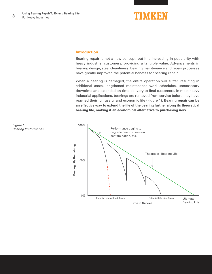**3**

## TIMKEN

#### **Introduction**

Bearing repair is not a new concept, but it is increasing in popularity with heavy industrial customers, providing a tangible value. Advancements in bearing design, steel cleanliness, bearing maintenance and repair processes have greatly improved the potential benefits for bearing repair.

When a bearing is damaged, the entire operation will suffer, resulting in additional costs, lengthened maintenance work schedules, unnecessary downtime and extended on-time-delivery to final customers. In most heavy industrial applications, bearings are removed from service before they have reached their full useful and economic life (Figure 1). **Bearing repair can be an effective way to extend the life of the bearing further along its theoretical bearing life, making it an economical alternative to purchasing new.**

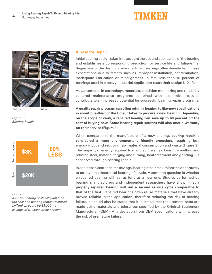

*Figure 2: Bearing Repair.*



#### *Figure 3:*

*If a new bearing costs \$20,000 then the cost of a bearing remanufactured by Timken could be \$8,000 – a savings of \$12,000, or 60 percent.*

#### **A Case for Repair**

Initial bearing design takes into account the use and application of the bearing and establishes a corresponding prediction for service life and fatigue life. Regardless of the design or manufacturer, bearings often deviate from these expectations due to factors such as improper installation, contamination, inadequate lubrication or misalignment. In fact, less than 10 percent of bearings used in a heavy industrial application reach their design L10 life.

Advancements in technology, materials, condition monitoring and reliability centered maintenance programs combined with economic pressures contribute to an increased potential for successful bearing repair programs.

**A quality repair program can often return a bearing to like-new specifications in about one-third of the time it takes to procure a new bearing. Depending on the scope of work, a repaired bearing can save up to 60 percent off the cost of buying new. Some bearing repair sources will also offer a warranty on their service (Figure 2).**

When compared to the manufacture of a new bearing, **bearing repair is considered a more environmentally friendly procedure,** requiring less energy input and reducing raw material consumption and waste (Figure 3). The majority of energy required to manufacture a new bearing – melting and refining steel, material forging and turning, heat-treatment and grinding – is conserved through bearing repair.

In addition to cost and time savings, bearing repair maximizes the opportunity to achieve the theoretical bearing life cycle. A common question is whether a repaired bearing will last as long as a new one. Studies performed by bearing manufacturers and independent researchers have shown that **a properly repaired bearing will run a second service cycle comparable to that of the first.** Repaired bearings often reuse materials that have already proved reliable in the application, therefore reducing the risk of bearing failure. It should also be stated that it is critical that replacement parts are made using materials and tolerances specified by the Original Equipment Manufacturer (OEM). Any deviation from OEM specifications will increase the risk of premature failure.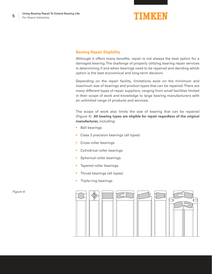**5**

# TIMKEN

### **Bearing Repair Eligibility**

Although it offers many benefits, repair is not always the best option for a damaged bearing. The challenge of properly utilizing bearing repair services is determining if and when bearings need to be repaired and deciding which option is the best economical and long-term decision.

Depending on the repair facility, limitations exist on the minimum and maximum size of bearings and product types that can be repaired. There are many different types of repair suppliers, ranging from small facilities limited in their scope of work and knowledge to large bearing manufacturers with an unlimited range of products and services.

The scope of work also limits the size of bearing that can be repaired (Figure 4). **All bearing types are eligible for repair regardless of the original manufacturer,** including:

- **Ball bearings**
- Class 3 precision bearings (all types)
- Cross roller bearings
- Cylindrical roller bearings
- Spherical roller bearings
- Tapered roller bearings
- Thrust bearings (all types)
- Triple-ring bearings



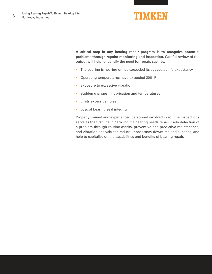

**A critical step in any bearing repair program is to recognize potential problems through regular monitoring and inspection.** Careful review of the output will help to identify the need for repair, such as:

- The bearing is nearing or has exceeded its suggested life expectancy
- Operating temperatures have exceeded 200º F
- Exposure to excessive vibration
- Sudden changes in lubrication and temperatures
- Emits excessive noise
- Loss of bearing seal integrity

Properly trained and experienced personnel involved in routine inspections serve as the first line in deciding if a bearing needs repair. Early detection of a problem through routine checks, preventive and predictive maintenance, and vibration analysis can reduce unnecessary downtime and expense, and help to capitalize on the capabilities and benefits of bearing repair.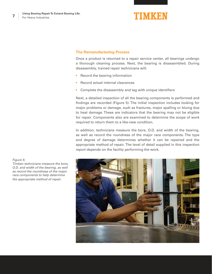**7**

### TIMKEN

### **The Remanufacturing Process**

Once a product is returned to a repair service center, all bearings undergo a thorough cleaning process. Next, the bearing is disassembled. During disassembly, trained repair technicians will:

- Record the bearing information
- Record actual internal clearances
- Complete the disassembly and tag with unique identifiers

Next, a detailed inspection of all the bearing components is performed and findings are recorded (Figure 5). The initial inspection includes looking for major problems or damage, such as fractures, major spalling or bluing due to heat damage. These are indicators that the bearing may not be eligible for repair. Components also are examined to determine the scope of work required to return them to a like-new condition.

In addition, technicians measure the bore, O.D. and width of the bearing, as well as record the roundness of the major race components. The type and degree of damage determines whether it can be repaired and the appropriate method of repair. The level of detail supplied in this inspection report depends on the facility performing the work.



*Figure 5: Timken technicians measure the bore, O.D. and width of the bearing, as well as record the roundness of the major race components to help determine the appropriate method of repair.*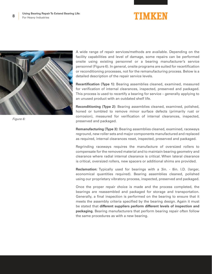



A wide range of repair services/methods are available. Depending on the facility capabilities and level of damage, some repairs can be performed onsite using existing personnel or a bearing manufacturer's service personnel (Figure 6). In general, onsite programs are suited for recertification or reconditioning processes, not for the remanufacturing process. Below is a detailed description of the repair service levels.

**Recertification (Type 1):** Bearing assemblies cleaned, examined, measured for verification of internal clearances, inspected, preserved and packaged. This process is used to recertify a bearing for service – generally applying to an unused product with an outdated shelf life.

**Reconditioning (Type 2):** Bearing assemblies cleaned, examined, polished, honed or tumbled to remove minor surface defects (primarily rust or corrosion), measured for verification of internal clearances, inspected, preserved and packaged.

**Remanufacturing (Type 3):** Bearing assemblies cleaned, examined, raceways reground, new roller sets and major components manufactured and replaced as required, internal clearances reset, inspected, preserved and packaged.

Regrinding raceways requires the manufacture of oversized rollers to compensate for the removed material and to maintain bearing geometry and clearance where radial internal clearance is critical. When lateral clearance is critical, oversized rollers, new spacers or additional shims are provided.

**Reclamation:** Typically used for bearings with a 3in. - 8in. I.D. (larger, economical quantities required). Bearing assemblies cleaned, polished using our proprietary vibratory process, inspected, preserved and packaged.

Once the proper repair choice is made and the process completed, the bearings are reassembled and packaged for storage and transportation. Generally, a final inspection is performed on the bearing to ensure that it meets the assembly criteria specified by the bearing design. Again it must be stated that **different suppliers perform different levels of inspection and packaging.** Bearing manufacturers that perform bearing repair often follow the same procedures as with a new bearing.

*Figure 6:*

**8**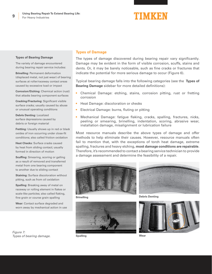#### **Types of Bearing Damage**

The variety of damage encountered during bearing repair service includes:

**Brinelling:** Permanent deformation (displaced metal, not just wear) of bearing surfaces at roller/raceway contact areas caused by excessive load or impact

**Corrosion/Etching:** Chemical action (rust) that attacks bearing component surfaces

**Cracking/Fracturing:** Significant visible surface cracks; usually caused by abuse or unusual operating conditions

**Debris Denting:** Localized surface depressions caused by debris or foreign material

**Fretting:** Usually shows up in red or black oxides of iron occurring under close-fit conditions; also called friction oxidation

**Heat Checks:** Surface cracks caused by heat from sliding contact; usually formed in direction of motion

**Scuffing:** Smearing, scoring or galling as a result of removed and transferred metal from one bearing component to another due to sliding contact

**Staining:** Surface discoloration without pitting, such as from oil oxidation

**Spalling:** Breaking away of metal on raceway or rolling element in flakes or scale-like particles; also called flaking, fine grain or course grain spalling

**Wear:** Contact surface degraded and worn away by mechanical action in use

*Figure 7:* 

*Types of bearing damage.*

### **Types of Damage**

The types of damage discovered during bearing repair vary significantly. Damage may be evident in the form of visible corrosion, scuffs, stains and dents. Or, it may be barely noticeable, such as fine cracks or fractures that indicate the potential for more serious damage to occur (Figure 6).

Typical bearing damage falls into the following categories (see the **Types of Bearing Damage** sidebar for more detailed definitions):

- Chemical Damage: etching, stains, corrosion pitting, rust or fretting corrosion
- Heat Damage: discoloration or checks
- Electrical Damage: burns, fluting or pitting
- Mechanical Damage: fatigue flaking, cracks, spalling, fractures, nicks, peeling or smearing, brinelling, indentation, scoring, abrasive wear, installation damage, misalignment or lubrication failure

Most resource manuals describe the above types of damage and offer methods to help eliminate their causes. However, resource manuals often fail to mention that, with the exceptions of torch heat damage, extreme spalling, fractures and heavy etching, **most damage conditions are repairable**. Therefore, it's recommended to contact a bearing service technician to provide a damage assessment and determine the feasibility of a repair.







**Brinelling Debris Denting**



**Spalling**

**Wear**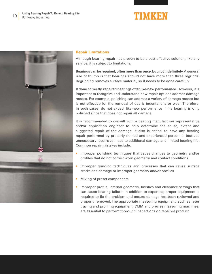

### **Repair Limitations**

Although bearing repair has proven to be a cost-effective solution, like any service, it is subject to limitations.

**Bearings can be repaired, often more than once, but not indefinitely.** A general rule of thumb is that bearings should not have more than three regrinds. Regrinding removes surface material, so it needs to be done carefully.

**If done correctly, repaired bearings offer like-new performance.** However, it is important to recognize and understand how repair options address damage modes. For example, polishing can address a variety of damage modes but is not effective for the removal of debris indentations or wear. Therefore, in such cases, do not expect like-new performance if the bearing is only polished since that does not repair all damage.

It is recommended to consult with a bearing manufacturer representative and/or application engineer to help determine the cause, extent and suggested repair of the damage. It also is critical to have any bearing repair performed by properly trained and experienced personnel because unnecessary repairs can lead to additional damage and limited bearing life. Common repair mistakes include:

- Improper polishing techniques that cause changes to geometry and/or profiles that do not correct worn geometry and contact conditions
- Improper grinding techniques and processes that can cause surface cracks and damage or improper geometry and/or profiles
- Mixing of preset components
- Improper profile, internal geometry, finishes and clearance settings that can cause bearing failure. In addition to expertise, proper equipment is required to fix the problem and ensure damage has been reviewed and properly removed. The appropriate measuring equipment, such as laser tracing and profiling equipment, CMM and precise measuring machines, are essential to perform thorough inspections on repaired product.